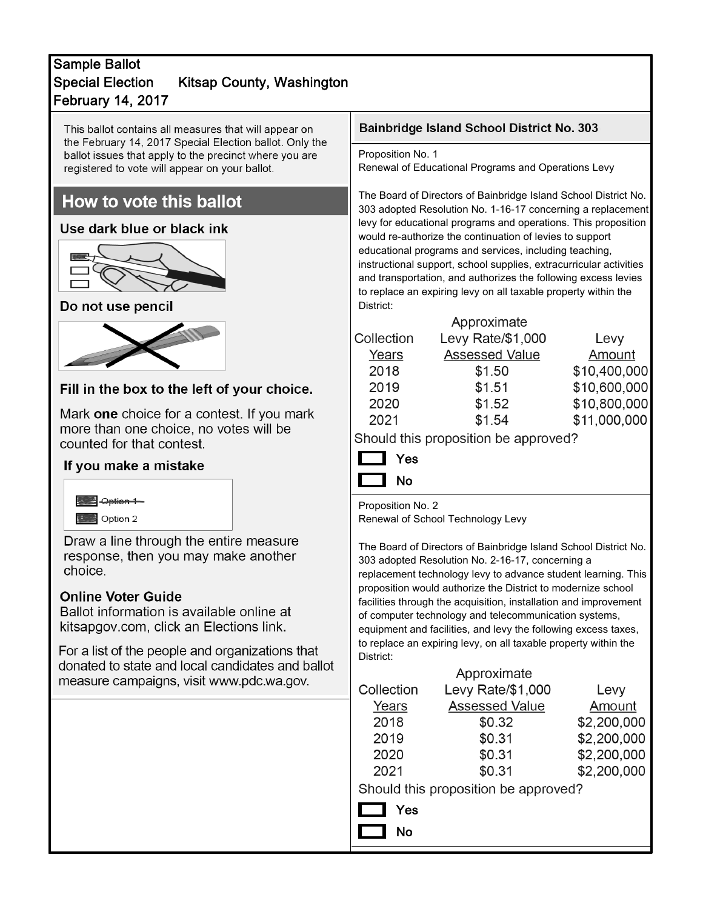# February 14, 2017 Sample Ballot Special Election Kitsap County, Washington

This ballot contains all measures that will appear on the February 14, 2017 Special Election ballot. Only the ballot issues that apply to the precinct where you are registered to vote will appear on your ballot.

# How to vote this ballot

## Use dark blue or black ink



## Do not use pencil



# Fill in the box to the left of your choice.

Mark one choice for a contest. If you mark more than one choice, no votes will be counted for that contest.

## If you make a mistake



Draw a line through the entire measure response, then you may make another choice.

#### **Online Voter Guide**

Ballot information is available online at kitsapgov.com, click an Elections link.

For a list of the people and organizations that donated to state and local candidates and ballot meas

#### Bainbridge Island School District No. 303

Proposition No. 1

Renewal of Educational Programs and Operations Levy

The Board of Directors of Bainbridge Island School District No. 303 adopted Resolution No. 1-16-17 concerning a replacement levy for educational programs and operations. This proposition would re-authorize the continuation of levies to support educational programs and services, including teaching, instructional support, school supplies, extracurricular activities and transportation, and authorizes the following excess levies to replace an expiring levy on all taxable property within the District:

|            | Approximate           |              |
|------------|-----------------------|--------------|
| Collection | Levy Rate/\$1,000     | Levy         |
| Years      | <b>Assessed Value</b> | Amount       |
| 2018       | \$1.50                | \$10,400,000 |
| 2019       | \$1.51                | \$10,600,000 |
| 2020       | \$1.52                | \$10,800,000 |
| 2021       | \$1.54                | \$11,000,000 |
|            |                       |              |

Should this proposition be approved?

| Yes |
|-----|
| Νo  |

Proposition No. 2 Renewal of School Technology Levy

The Board of Directors of Bainbridge Island School District No. 303 adopted Resolution No. 2-16-17, concerning a replacement technology levy to advance student learning. This proposition would authorize the District to modernize school facilities through the acquisition, installation and improvement of computer technology and telecommunication systems, equipment and facilities, and levy the following excess taxes, to replace an expiring levy, on all taxable property within the District:

| ure campaigns, visit www.pdc.wa.gov. | Approximate                          |                       |             |
|--------------------------------------|--------------------------------------|-----------------------|-------------|
|                                      | Collection                           | Levy Rate/\$1,000     | Levy        |
|                                      | Years                                | <b>Assessed Value</b> | Amount      |
|                                      | 2018                                 | \$0.32                | \$2,200,000 |
|                                      | 2019                                 | \$0.31                | \$2,200,000 |
|                                      | 2020                                 | \$0.31                | \$2,200,000 |
|                                      | 2021                                 | \$0.31                | \$2,200,000 |
|                                      | Should this proposition be approved? |                       |             |
|                                      | Yes                                  |                       |             |
|                                      | <b>No</b>                            |                       |             |